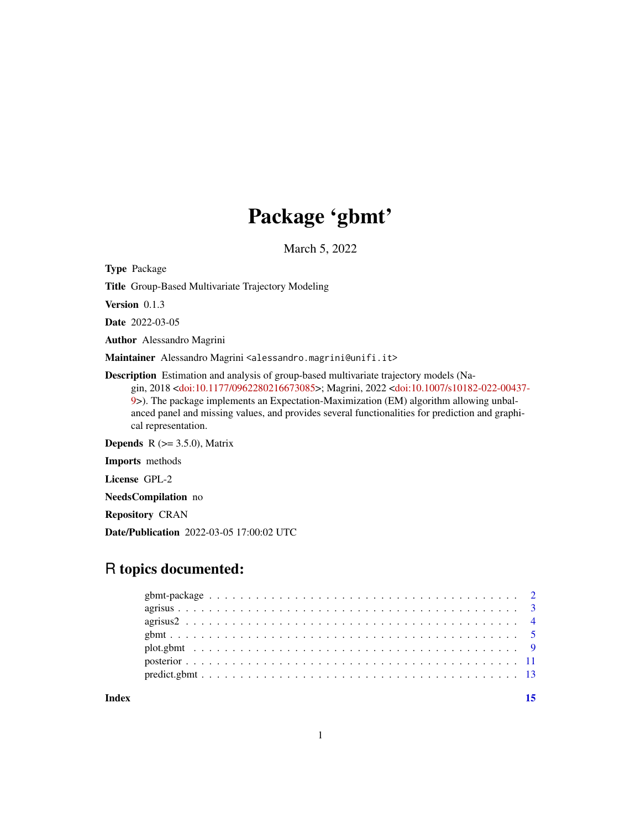## Package 'gbmt'

March 5, 2022

Type Package

Title Group-Based Multivariate Trajectory Modeling

Version 0.1.3

Date 2022-03-05

Author Alessandro Magrini

Maintainer Alessandro Magrini <alessandro.magrini@unifi.it>

Description Estimation and analysis of group-based multivariate trajectory models (Nagin, 2018 [<doi:10.1177/0962280216673085>](https://doi.org/10.1177/0962280216673085); Magrini, 2022 [<doi:10.1007/s10182-022-00437-](https://doi.org/10.1007/s10182-022-00437-9) [9>](https://doi.org/10.1007/s10182-022-00437-9)). The package implements an Expectation-Maximization (EM) algorithm allowing unbalanced panel and missing values, and provides several functionalities for prediction and graphical representation.

**Depends** R  $(>= 3.5.0)$ , Matrix

Imports methods

License GPL-2

NeedsCompilation no

Repository CRAN

Date/Publication 2022-03-05 17:00:02 UTC

### R topics documented:

**Index** [15](#page-14-0)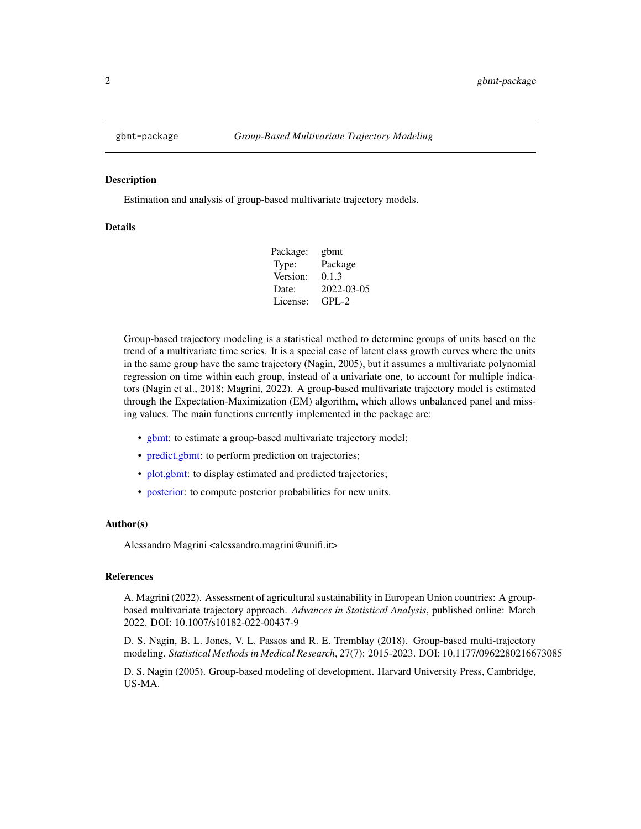<span id="page-1-0"></span>

#### Description

Estimation and analysis of group-based multivariate trajectory models.

#### Details

| Package: | gbmt       |
|----------|------------|
| Type:    | Package    |
| Version: | 0.1.3      |
| Date:    | 2022-03-05 |
| License: | $GPL-2$    |

Group-based trajectory modeling is a statistical method to determine groups of units based on the trend of a multivariate time series. It is a special case of latent class growth curves where the units in the same group have the same trajectory (Nagin, 2005), but it assumes a multivariate polynomial regression on time within each group, instead of a univariate one, to account for multiple indicators (Nagin et al., 2018; Magrini, 2022). A group-based multivariate trajectory model is estimated through the Expectation-Maximization (EM) algorithm, which allows unbalanced panel and missing values. The main functions currently implemented in the package are:

- [gbmt:](#page-4-1) to estimate a group-based multivariate trajectory model;
- [predict.gbmt:](#page-12-1) to perform prediction on trajectories;
- [plot.gbmt:](#page-8-1) to display estimated and predicted trajectories;
- [posterior:](#page-10-1) to compute posterior probabilities for new units.

#### Author(s)

Alessandro Magrini <alessandro.magrini@unifi.it>

#### References

A. Magrini (2022). Assessment of agricultural sustainability in European Union countries: A groupbased multivariate trajectory approach. *Advances in Statistical Analysis*, published online: March 2022. DOI: 10.1007/s10182-022-00437-9

D. S. Nagin, B. L. Jones, V. L. Passos and R. E. Tremblay (2018). Group-based multi-trajectory modeling. *Statistical Methods in Medical Research*, 27(7): 2015-2023. DOI: 10.1177/0962280216673085

D. S. Nagin (2005). Group-based modeling of development. Harvard University Press, Cambridge, US-MA.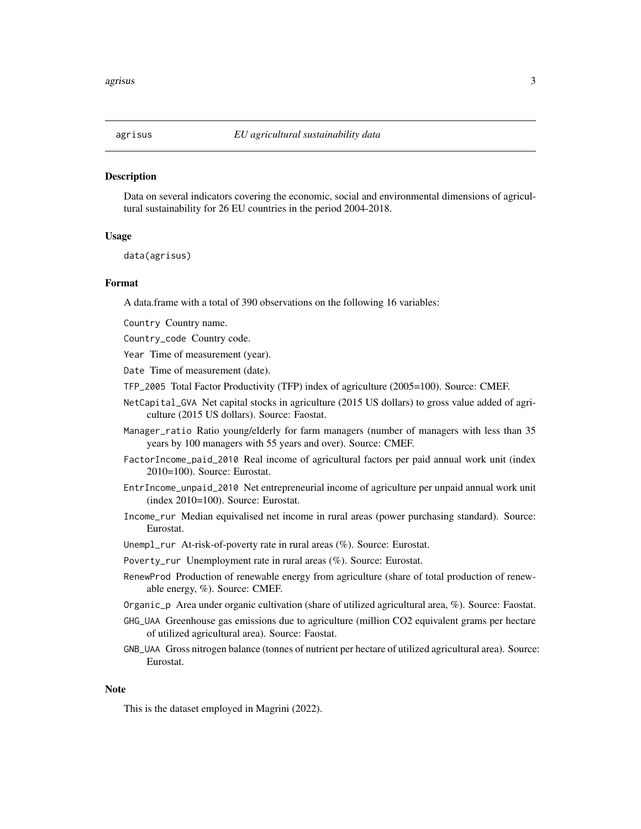<span id="page-2-1"></span><span id="page-2-0"></span>

#### **Description**

Data on several indicators covering the economic, social and environmental dimensions of agricultural sustainability for 26 EU countries in the period 2004-2018.

#### Usage

data(agrisus)

#### Format

A data.frame with a total of 390 observations on the following 16 variables:

Country Country name.

Country\_code Country code.

Year Time of measurement (year).

Date Time of measurement (date).

- TFP\_2005 Total Factor Productivity (TFP) index of agriculture (2005=100). Source: CMEF.
- NetCapital\_GVA Net capital stocks in agriculture (2015 US dollars) to gross value added of agriculture (2015 US dollars). Source: Faostat.
- Manager\_ratio Ratio young/elderly for farm managers (number of managers with less than 35 years by 100 managers with 55 years and over). Source: CMEF.
- FactorIncome\_paid\_2010 Real income of agricultural factors per paid annual work unit (index 2010=100). Source: Eurostat.
- EntrIncome\_unpaid\_2010 Net entrepreneurial income of agriculture per unpaid annual work unit (index 2010=100). Source: Eurostat.
- Income\_rur Median equivalised net income in rural areas (power purchasing standard). Source: Eurostat.
- Unempl\_rur At-risk-of-poverty rate in rural areas (%). Source: Eurostat.
- Poverty\_rur Unemployment rate in rural areas (%). Source: Eurostat.
- RenewProd Production of renewable energy from agriculture (share of total production of renewable energy, %). Source: CMEF.
- Organic\_p Area under organic cultivation (share of utilized agricultural area, %). Source: Faostat.
- GHG\_UAA Greenhouse gas emissions due to agriculture (million CO2 equivalent grams per hectare of utilized agricultural area). Source: Faostat.
- GNB\_UAA Gross nitrogen balance (tonnes of nutrient per hectare of utilized agricultural area). Source: Eurostat.

#### **Note**

This is the dataset employed in Magrini (2022).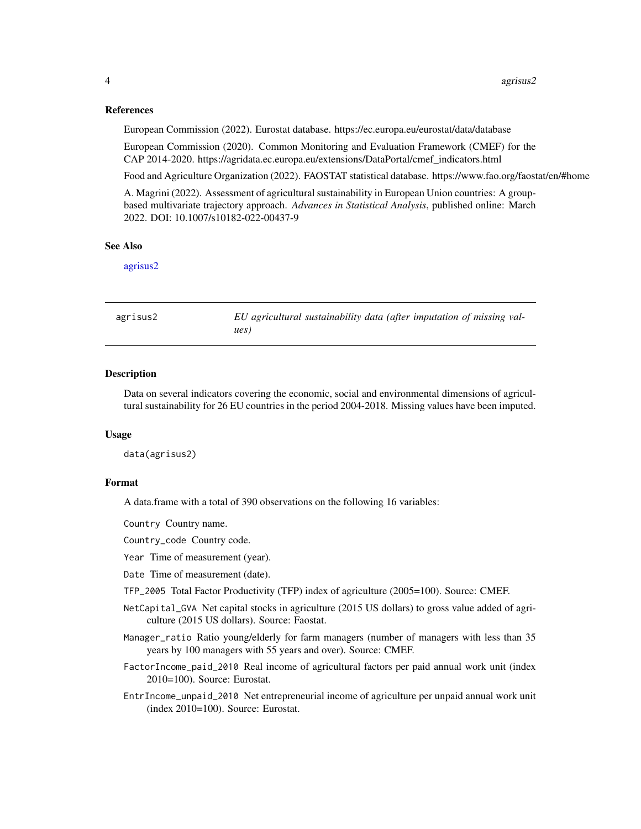#### <span id="page-3-0"></span>References

European Commission (2022). Eurostat database. https://ec.europa.eu/eurostat/data/database European Commission (2020). Common Monitoring and Evaluation Framework (CMEF) for the CAP 2014-2020. https://agridata.ec.europa.eu/extensions/DataPortal/cmef\_indicators.html

Food and Agriculture Organization (2022). FAOSTAT statistical database. https://www.fao.org/faostat/en/#home

A. Magrini (2022). Assessment of agricultural sustainability in European Union countries: A groupbased multivariate trajectory approach. *Advances in Statistical Analysis*, published online: March 2022. DOI: 10.1007/s10182-022-00437-9

#### See Also

[agrisus2](#page-3-1)

<span id="page-3-1"></span>

| agrisus2 | EU agricultural sustainability data (after imputation of missing val- |  |  |
|----------|-----------------------------------------------------------------------|--|--|
|          | ues)                                                                  |  |  |

#### Description

Data on several indicators covering the economic, social and environmental dimensions of agricultural sustainability for 26 EU countries in the period 2004-2018. Missing values have been imputed.

#### Usage

data(agrisus2)

#### Format

A data.frame with a total of 390 observations on the following 16 variables:

Country Country name.

Country\_code Country code.

Year Time of measurement (year).

Date Time of measurement (date).

TFP\_2005 Total Factor Productivity (TFP) index of agriculture (2005=100). Source: CMEF.

- NetCapital\_GVA Net capital stocks in agriculture (2015 US dollars) to gross value added of agriculture (2015 US dollars). Source: Faostat.
- Manager\_ratio Ratio young/elderly for farm managers (number of managers with less than 35 years by 100 managers with 55 years and over). Source: CMEF.
- FactorIncome\_paid\_2010 Real income of agricultural factors per paid annual work unit (index 2010=100). Source: Eurostat.
- EntrIncome\_unpaid\_2010 Net entrepreneurial income of agriculture per unpaid annual work unit (index 2010=100). Source: Eurostat.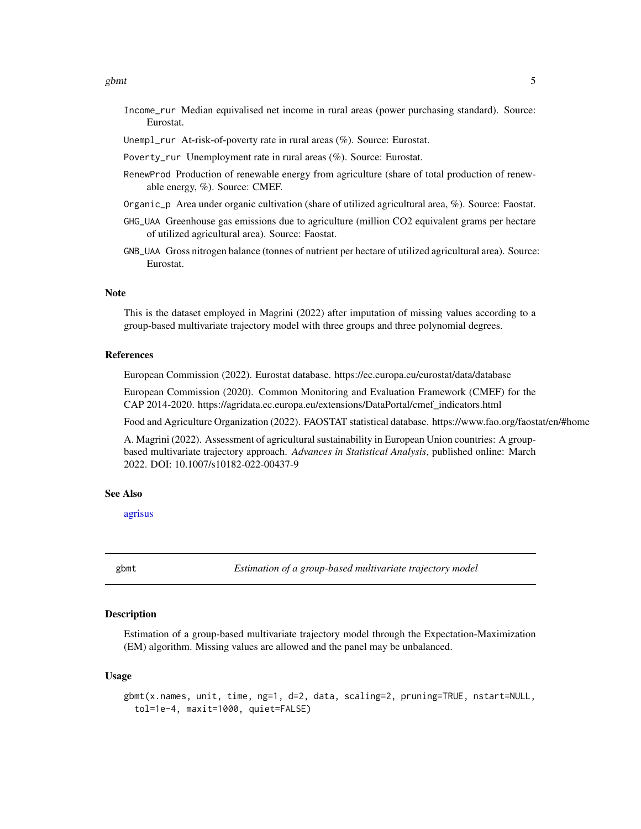- <span id="page-4-0"></span>Income\_rur Median equivalised net income in rural areas (power purchasing standard). Source: Eurostat.
- Unempl\_rur At-risk-of-poverty rate in rural areas (%). Source: Eurostat.
- Poverty\_rur Unemployment rate in rural areas (%). Source: Eurostat.
- RenewProd Production of renewable energy from agriculture (share of total production of renewable energy, %). Source: CMEF.
- Organic\_p Area under organic cultivation (share of utilized agricultural area, %). Source: Faostat.
- GHG\_UAA Greenhouse gas emissions due to agriculture (million CO2 equivalent grams per hectare of utilized agricultural area). Source: Faostat.
- GNB\_UAA Gross nitrogen balance (tonnes of nutrient per hectare of utilized agricultural area). Source: Eurostat.

#### **Note**

This is the dataset employed in Magrini (2022) after imputation of missing values according to a group-based multivariate trajectory model with three groups and three polynomial degrees.

#### References

European Commission (2022). Eurostat database. https://ec.europa.eu/eurostat/data/database

European Commission (2020). Common Monitoring and Evaluation Framework (CMEF) for the CAP 2014-2020. https://agridata.ec.europa.eu/extensions/DataPortal/cmef\_indicators.html

Food and Agriculture Organization (2022). FAOSTAT statistical database. https://www.fao.org/faostat/en/#home

A. Magrini (2022). Assessment of agricultural sustainability in European Union countries: A groupbased multivariate trajectory approach. *Advances in Statistical Analysis*, published online: March 2022. DOI: 10.1007/s10182-022-00437-9

#### See Also

[agrisus](#page-2-1)

<span id="page-4-1"></span>

gbmt *Estimation of a group-based multivariate trajectory model*

#### Description

Estimation of a group-based multivariate trajectory model through the Expectation-Maximization (EM) algorithm. Missing values are allowed and the panel may be unbalanced.

#### Usage

gbmt(x.names, unit, time, ng=1, d=2, data, scaling=2, pruning=TRUE, nstart=NULL, tol=1e-4, maxit=1000, quiet=FALSE)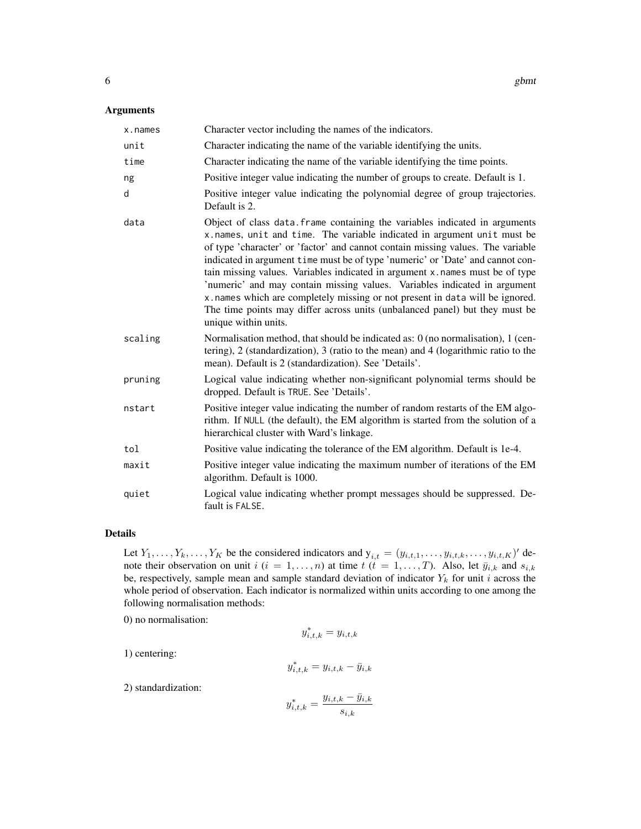#### Arguments

| x.names | Character vector including the names of the indicators.                                                                                                                                                                                                                                                                                                                                                                                                                                                                                                                                                                                                                          |
|---------|----------------------------------------------------------------------------------------------------------------------------------------------------------------------------------------------------------------------------------------------------------------------------------------------------------------------------------------------------------------------------------------------------------------------------------------------------------------------------------------------------------------------------------------------------------------------------------------------------------------------------------------------------------------------------------|
| unit    | Character indicating the name of the variable identifying the units.                                                                                                                                                                                                                                                                                                                                                                                                                                                                                                                                                                                                             |
| time    | Character indicating the name of the variable identifying the time points.                                                                                                                                                                                                                                                                                                                                                                                                                                                                                                                                                                                                       |
| ng      | Positive integer value indicating the number of groups to create. Default is 1.                                                                                                                                                                                                                                                                                                                                                                                                                                                                                                                                                                                                  |
| d       | Positive integer value indicating the polynomial degree of group trajectories.<br>Default is 2.                                                                                                                                                                                                                                                                                                                                                                                                                                                                                                                                                                                  |
| data    | Object of class data. frame containing the variables indicated in arguments<br>x.names, unit and time. The variable indicated in argument unit must be<br>of type 'character' or 'factor' and cannot contain missing values. The variable<br>indicated in argument time must be of type 'numeric' or 'Date' and cannot con-<br>tain missing values. Variables indicated in argument x.names must be of type<br>'numeric' and may contain missing values. Variables indicated in argument<br>x. names which are completely missing or not present in data will be ignored.<br>The time points may differ across units (unbalanced panel) but they must be<br>unique within units. |
| scaling | Normalisation method, that should be indicated as: 0 (no normalisation), 1 (cen-<br>tering), 2 (standardization), 3 (ratio to the mean) and 4 (logarithmic ratio to the<br>mean). Default is 2 (standardization). See 'Details'.                                                                                                                                                                                                                                                                                                                                                                                                                                                 |
| pruning | Logical value indicating whether non-significant polynomial terms should be<br>dropped. Default is TRUE. See 'Details'.                                                                                                                                                                                                                                                                                                                                                                                                                                                                                                                                                          |
| nstart  | Positive integer value indicating the number of random restarts of the EM algo-<br>rithm. If NULL (the default), the EM algorithm is started from the solution of a<br>hierarchical cluster with Ward's linkage.                                                                                                                                                                                                                                                                                                                                                                                                                                                                 |
| tol     | Positive value indicating the tolerance of the EM algorithm. Default is 1e-4.                                                                                                                                                                                                                                                                                                                                                                                                                                                                                                                                                                                                    |
| maxit   | Positive integer value indicating the maximum number of iterations of the EM<br>algorithm. Default is 1000.                                                                                                                                                                                                                                                                                                                                                                                                                                                                                                                                                                      |
| quiet   | Logical value indicating whether prompt messages should be suppressed. De-<br>fault is FALSE.                                                                                                                                                                                                                                                                                                                                                                                                                                                                                                                                                                                    |

#### Details

Let  $Y_1, \ldots, Y_k, \ldots, Y_K$  be the considered indicators and  $y_{i,t} = (y_{i,t,1}, \ldots, y_{i,t,k}, \ldots, y_{i,t,K})'$  denote their observation on unit  $i$   $(i = 1, \ldots, n)$  at time  $t$   $(t = 1, \ldots, T)$ . Also, let  $\bar{y}_{i,k}$  and  $s_{i,k}$ be, respectively, sample mean and sample standard deviation of indicator  $Y_k$  for unit i across the whole period of observation. Each indicator is normalized within units according to one among the following normalisation methods:

0) no normalisation:

$$
y_{i,t,k}^* = y_{i,t,k}
$$

1) centering:

$$
y_{i,t,k}^* = y_{i,t,k} - \bar{y}_{i,k}
$$

2) standardization:

$$
y_{i,t,k}^* = \frac{y_{i,t,k} - \bar{y}_{i,k}}{s_{i,k}}
$$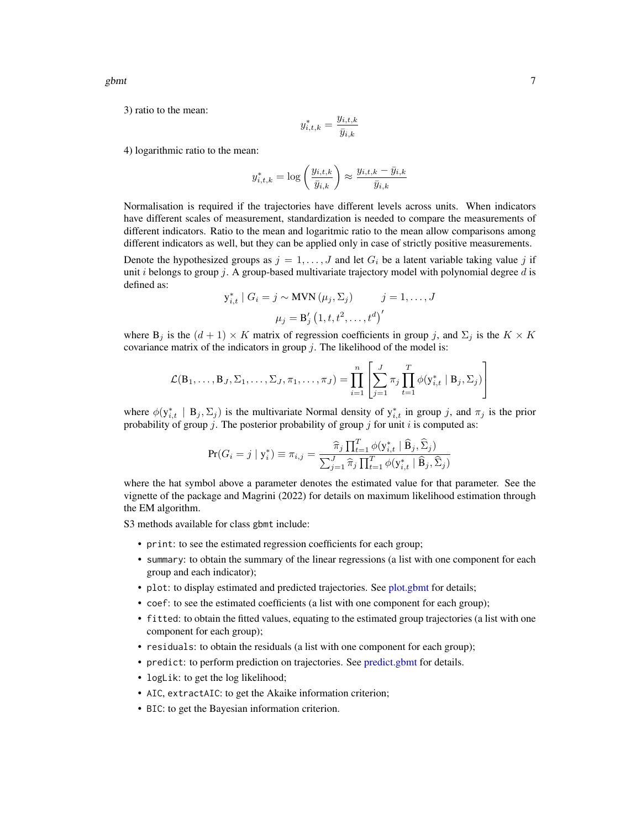<span id="page-6-0"></span>gbmt  $\sim$  7

3) ratio to the mean:

$$
y_{i,t,k}^* = \frac{y_{i,t,k}}{\bar{y}_{i,k}}
$$

4) logarithmic ratio to the mean:

$$
y_{i,t,k}^* = \log\left(\frac{y_{i,t,k}}{\bar{y}_{i,k}}\right) \approx \frac{y_{i,t,k} - \bar{y}_{i,k}}{\bar{y}_{i,k}}
$$

Normalisation is required if the trajectories have different levels across units. When indicators have different scales of measurement, standardization is needed to compare the measurements of different indicators. Ratio to the mean and logaritmic ratio to the mean allow comparisons among different indicators as well, but they can be applied only in case of strictly positive measurements.

Denote the hypothesized groups as  $j = 1, \ldots, J$  and let  $G_i$  be a latent variable taking value j if unit i belongs to group j. A group-based multivariate trajectory model with polynomial degree  $d$  is defined as:

$$
\mathbf{y}_{i,t}^* \mid G_i = j \sim \text{MVN}(\mu_j, \Sigma_j) \qquad j = 1, \dots, J
$$

$$
\mu_j = \mathbf{B}'_j \left(1, t, t^2, \dots, t^d\right)'
$$

where  $B_j$  is the  $(d+1) \times K$  matrix of regression coefficients in group j, and  $\Sigma_j$  is the  $K \times K$ covariance matrix of the indicators in group  $j$ . The likelihood of the model is:

$$
\mathcal{L}(\mathbf{B}_1,\ldots,\mathbf{B}_J,\Sigma_1,\ldots,\Sigma_J,\pi_1,\ldots,\pi_J)=\prod_{i=1}^n\left[\sum_{j=1}^J\pi_j\prod_{t=1}^T\phi(\mathbf{y}_{i,t}^* \mid \mathbf{B}_j,\Sigma_j)\right]
$$

where  $\phi(y_{i,t}^* \mid B_j, \Sigma_j)$  is the multivariate Normal density of  $y_{i,t}^*$  in group j, and  $\pi_j$  is the prior probability of group j. The posterior probability of group j for unit i is computed as:

$$
\Pr(G_i = j \mid \mathbf{y}_i^*) \equiv \pi_{i,j} = \frac{\hat{\pi}_j \prod_{t=1}^T \phi(\mathbf{y}_{i,t}^* \mid \hat{\mathbf{B}}_j, \hat{\Sigma}_j)}{\sum_{j=1}^J \hat{\pi}_j \prod_{t=1}^T \phi(\mathbf{y}_{i,t}^* \mid \hat{\mathbf{B}}_j, \hat{\Sigma}_j)}
$$

where the hat symbol above a parameter denotes the estimated value for that parameter. See the vignette of the package and Magrini (2022) for details on maximum likelihood estimation through the EM algorithm.

S3 methods available for class gbmt include:

- print: to see the estimated regression coefficients for each group;
- summary: to obtain the summary of the linear regressions (a list with one component for each group and each indicator);
- plot: to display estimated and predicted trajectories. See [plot.gbmt](#page-8-1) for details;
- coef: to see the estimated coefficients (a list with one component for each group);
- fitted: to obtain the fitted values, equating to the estimated group trajectories (a list with one component for each group);
- residuals: to obtain the residuals (a list with one component for each group);
- predict: to perform prediction on trajectories. See [predict.gbmt](#page-12-1) for details.
- logLik: to get the log likelihood;
- AIC, extractAIC: to get the Akaike information criterion;
- BIC: to get the Bayesian information criterion.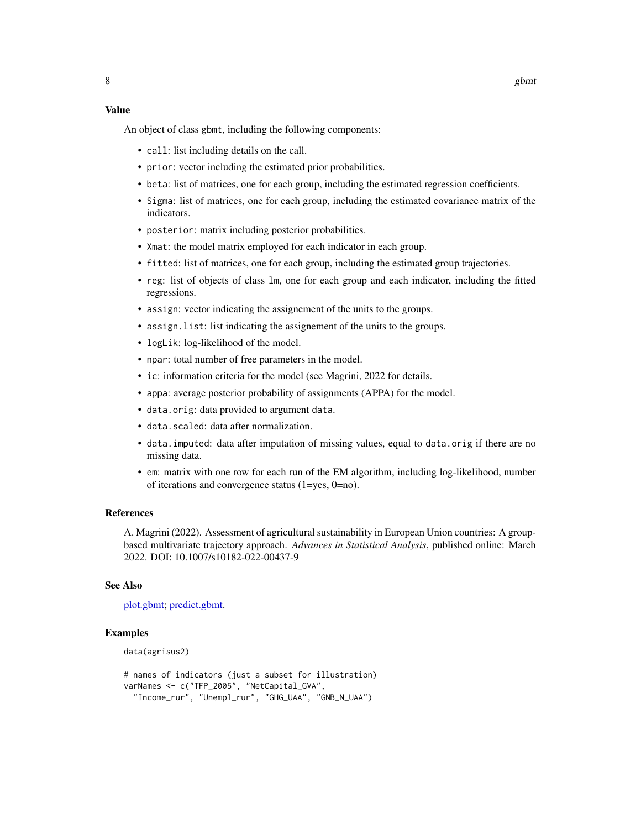#### <span id="page-7-0"></span>Value

An object of class gbmt, including the following components:

- call: list including details on the call.
- prior: vector including the estimated prior probabilities.
- beta: list of matrices, one for each group, including the estimated regression coefficients.
- Sigma: list of matrices, one for each group, including the estimated covariance matrix of the indicators.
- posterior: matrix including posterior probabilities.
- Xmat: the model matrix employed for each indicator in each group.
- fitted: list of matrices, one for each group, including the estimated group trajectories.
- reg: list of objects of class lm, one for each group and each indicator, including the fitted regressions.
- assign: vector indicating the assignement of the units to the groups.
- assign.list: list indicating the assignement of the units to the groups.
- logLik: log-likelihood of the model.
- npar: total number of free parameters in the model.
- ic: information criteria for the model (see Magrini, 2022 for details.
- appa: average posterior probability of assignments (APPA) for the model.
- data.orig: data provided to argument data.
- data.scaled: data after normalization.
- data.imputed: data after imputation of missing values, equal to data.orig if there are no missing data.
- em: matrix with one row for each run of the EM algorithm, including log-likelihood, number of iterations and convergence status (1=yes, 0=no).

#### References

A. Magrini (2022). Assessment of agricultural sustainability in European Union countries: A groupbased multivariate trajectory approach. *Advances in Statistical Analysis*, published online: March 2022. DOI: 10.1007/s10182-022-00437-9

#### See Also

[plot.gbmt;](#page-8-1) [predict.gbmt.](#page-12-1)

#### Examples

```
data(agrisus2)
```

```
# names of indicators (just a subset for illustration)
varNames <- c("TFP_2005", "NetCapital_GVA",
  "Income_rur", "Unempl_rur", "GHG_UAA", "GNB_N_UAA")
```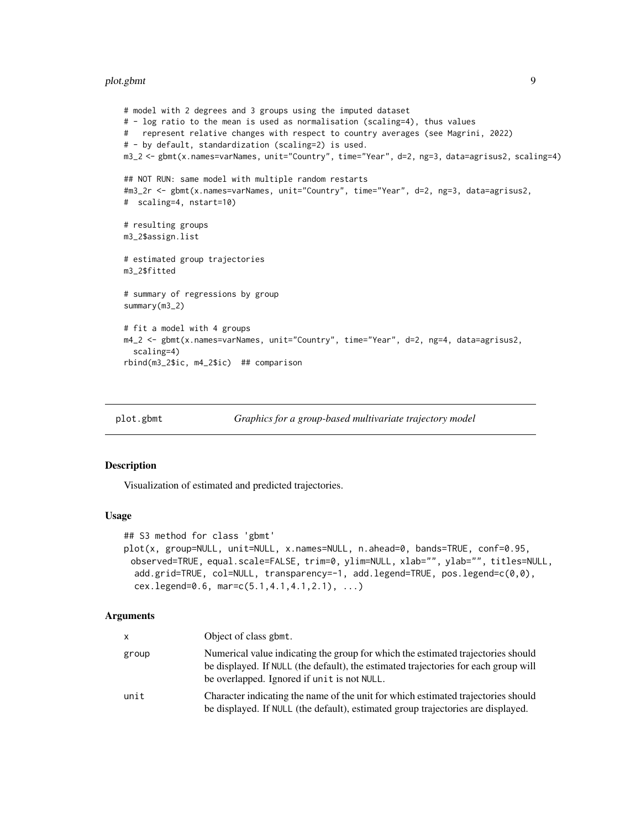#### <span id="page-8-0"></span>plot.gbmt 9

```
# model with 2 degrees and 3 groups using the imputed dataset
# - log ratio to the mean is used as normalisation (scaling=4), thus values
# represent relative changes with respect to country averages (see Magrini, 2022)
# - by default, standardization (scaling=2) is used.
m3_2 <- gbmt(x.names=varNames, unit="Country", time="Year", d=2, ng=3, data=agrisus2, scaling=4)
## NOT RUN: same model with multiple random restarts
#m3_2r <- gbmt(x.names=varNames, unit="Country", time="Year", d=2, ng=3, data=agrisus2,
# scaling=4, nstart=10)
# resulting groups
m3_2$assign.list
# estimated group trajectories
m3_2$fitted
# summary of regressions by group
summary(m3_2)
# fit a model with 4 groups
m4_2 <- gbmt(x.names=varNames, unit="Country", time="Year", d=2, ng=4, data=agrisus2,
  scaling=4)
rbind(m3_2$ic, m4_2$ic) ## comparison
```
<span id="page-8-1"></span>

plot.gbmt *Graphics for a group-based multivariate trajectory model*

#### Description

Visualization of estimated and predicted trajectories.

#### Usage

```
## S3 method for class 'gbmt'
plot(x, group=NULL, unit=NULL, x.names=NULL, n.ahead=0, bands=TRUE, conf=0.95,
 observed=TRUE, equal.scale=FALSE, trim=0, ylim=NULL, xlab="", ylab="", titles=NULL,
  add.grid=TRUE, col=NULL, transparency=-1, add.legend=TRUE, pos.legend=c(0,0),
  cex.legend=0.6, mar=c(5.1,4.1,4.1,2.1), ...)
```
#### Arguments

| x     | Object of class gbmt.                                                                                                                                                                                                  |
|-------|------------------------------------------------------------------------------------------------------------------------------------------------------------------------------------------------------------------------|
| group | Numerical value indicating the group for which the estimated trajectories should<br>be displayed. If NULL (the default), the estimated trajectories for each group will<br>be overlapped. Ignored if unit is not NULL. |
| unit  | Character indicating the name of the unit for which estimated trajectories should<br>be displayed. If NULL (the default), estimated group trajectories are displayed.                                                  |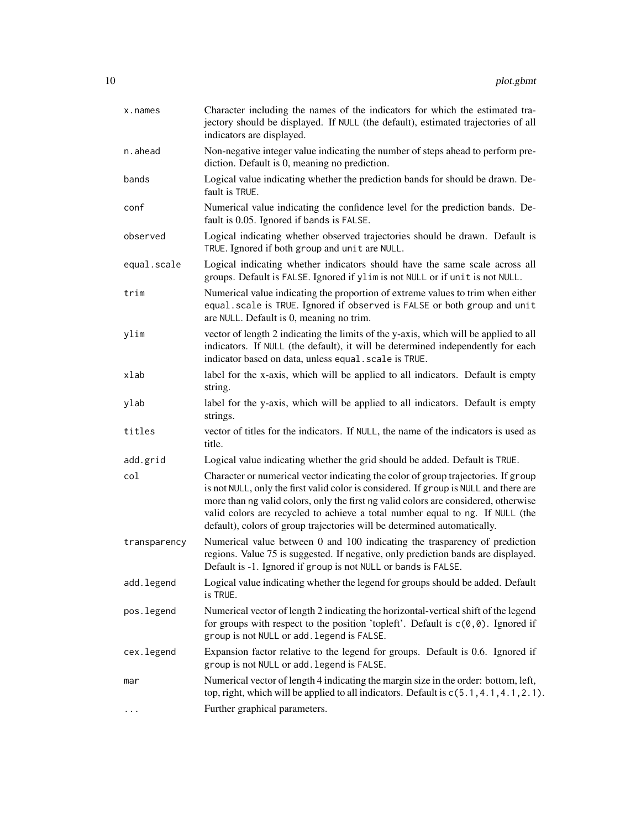| x.names      | Character including the names of the indicators for which the estimated tra-<br>jectory should be displayed. If NULL (the default), estimated trajectories of all<br>indicators are displayed.                                                                                                                                                                                                                                  |
|--------------|---------------------------------------------------------------------------------------------------------------------------------------------------------------------------------------------------------------------------------------------------------------------------------------------------------------------------------------------------------------------------------------------------------------------------------|
| n.ahead      | Non-negative integer value indicating the number of steps ahead to perform pre-<br>diction. Default is 0, meaning no prediction.                                                                                                                                                                                                                                                                                                |
| bands        | Logical value indicating whether the prediction bands for should be drawn. De-<br>fault is TRUE.                                                                                                                                                                                                                                                                                                                                |
| conf         | Numerical value indicating the confidence level for the prediction bands. De-<br>fault is 0.05. Ignored if bands is FALSE.                                                                                                                                                                                                                                                                                                      |
| observed     | Logical indicating whether observed trajectories should be drawn. Default is<br>TRUE. Ignored if both group and unit are NULL.                                                                                                                                                                                                                                                                                                  |
| equal.scale  | Logical indicating whether indicators should have the same scale across all<br>groups. Default is FALSE. Ignored if ylim is not NULL or if unit is not NULL.                                                                                                                                                                                                                                                                    |
| trim         | Numerical value indicating the proportion of extreme values to trim when either<br>equal. scale is TRUE. Ignored if observed is FALSE or both group and unit<br>are NULL. Default is 0, meaning no trim.                                                                                                                                                                                                                        |
| ylim         | vector of length 2 indicating the limits of the y-axis, which will be applied to all<br>indicators. If NULL (the default), it will be determined independently for each<br>indicator based on data, unless equal. scale is TRUE.                                                                                                                                                                                                |
| xlab         | label for the x-axis, which will be applied to all indicators. Default is empty<br>string.                                                                                                                                                                                                                                                                                                                                      |
| ylab         | label for the y-axis, which will be applied to all indicators. Default is empty<br>strings.                                                                                                                                                                                                                                                                                                                                     |
| titles       | vector of titles for the indicators. If NULL, the name of the indicators is used as<br>title.                                                                                                                                                                                                                                                                                                                                   |
| add.grid     | Logical value indicating whether the grid should be added. Default is TRUE.                                                                                                                                                                                                                                                                                                                                                     |
| col          | Character or numerical vector indicating the color of group trajectories. If group<br>is not NULL, only the first valid color is considered. If group is NULL and there are<br>more than ng valid colors, only the first ng valid colors are considered, otherwise<br>valid colors are recycled to achieve a total number equal to ng. If NULL (the<br>default), colors of group trajectories will be determined automatically. |
| transparency | Numerical value between 0 and 100 indicating the trasparency of prediction<br>regions. Value 75 is suggested. If negative, only prediction bands are displayed.<br>Default is -1. Ignored if group is not NULL or bands is FALSE.                                                                                                                                                                                               |
| add.legend   | Logical value indicating whether the legend for groups should be added. Default<br>is TRUE.                                                                                                                                                                                                                                                                                                                                     |
| pos.legend   | Numerical vector of length 2 indicating the horizontal-vertical shift of the legend<br>for groups with respect to the position 'topleft'. Default is $c(0,0)$ . Ignored if<br>group is not NULL or add. legend is FALSE.                                                                                                                                                                                                        |
| cex.legend   | Expansion factor relative to the legend for groups. Default is 0.6. Ignored if<br>group is not NULL or add. legend is FALSE.                                                                                                                                                                                                                                                                                                    |
| mar          | Numerical vector of length 4 indicating the margin size in the order: bottom, left,<br>top, right, which will be applied to all indicators. Default is $c(5.1, 4.1, 4.1, 2.1)$ .                                                                                                                                                                                                                                                |
| .            | Further graphical parameters.                                                                                                                                                                                                                                                                                                                                                                                                   |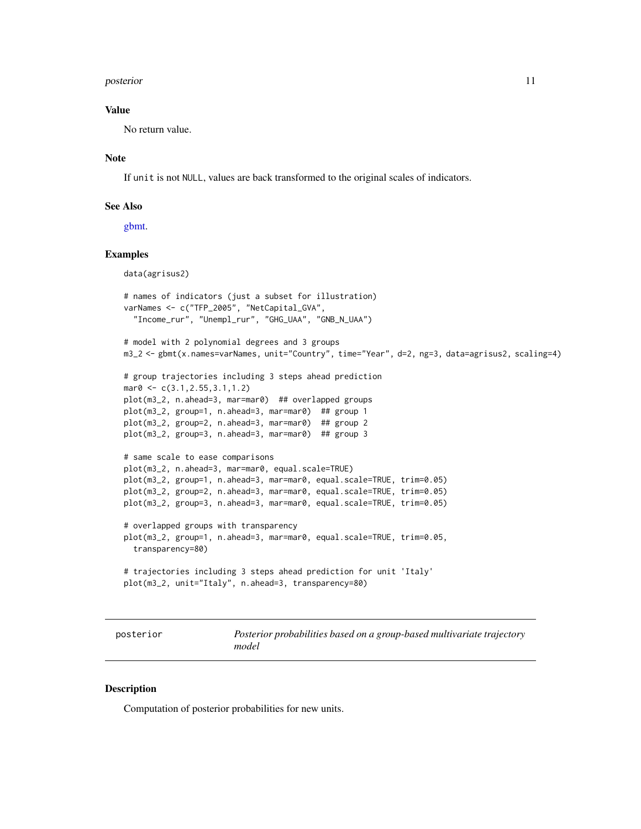<span id="page-10-0"></span>posterior that the contract of the contract of the contract of the contract of the contract of the contract of the contract of the contract of the contract of the contract of the contract of the contract of the contract of

#### Value

No return value.

#### Note

If unit is not NULL, values are back transformed to the original scales of indicators.

#### See Also

[gbmt.](#page-4-1)

#### Examples

data(agrisus2)

```
# names of indicators (just a subset for illustration)
varNames <- c("TFP_2005", "NetCapital_GVA",
  "Income_rur", "Unempl_rur", "GHG_UAA", "GNB_N_UAA")
# model with 2 polynomial degrees and 3 groups
m3_2 <- gbmt(x.names=varNames, unit="Country", time="Year", d=2, ng=3, data=agrisus2, scaling=4)
# group trajectories including 3 steps ahead prediction
mar0 < -c(3.1, 2.55, 3.1, 1.2)plot(m3_2, n.ahead=3, mar=mar0) ## overlapped groups
plot(m3_2, group=1, n.ahead=3, mar=mar0) ## group 1
plot(m3_2, group=2, n.ahead=3, mar=mar0) ## group 2
plot(m3_2, group=3, n.ahead=3, mar=mar0) ## group 3
# same scale to ease comparisons
plot(m3_2, n.ahead=3, mar=mar0, equal.scale=TRUE)
plot(m3_2, group=1, n.ahead=3, mar=mar0, equal.scale=TRUE, trim=0.05)
plot(m3_2, group=2, n.ahead=3, mar=mar0, equal.scale=TRUE, trim=0.05)
plot(m3_2, group=3, n.ahead=3, mar=mar0, equal.scale=TRUE, trim=0.05)
# overlapped groups with transparency
plot(m3_2, group=1, n.ahead=3, mar=mar0, equal.scale=TRUE, trim=0.05,
  transparency=80)
# trajectories including 3 steps ahead prediction for unit 'Italy'
plot(m3_2, unit="Italy", n.ahead=3, transparency=80)
```
<span id="page-10-1"></span>posterior *Posterior probabilities based on a group-based multivariate trajectory model*

#### **Description**

Computation of posterior probabilities for new units.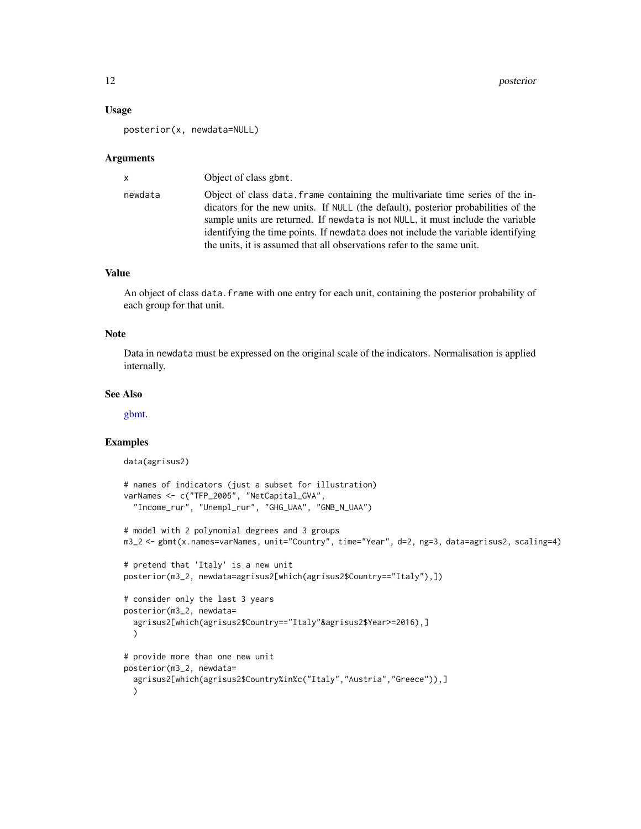#### Usage

posterior(x, newdata=NULL)

#### Arguments

| $\mathsf{x}$ | Object of class gbmt.                                                                                                                                                                                                                                                                                                                                                                                                 |
|--------------|-----------------------------------------------------------------------------------------------------------------------------------------------------------------------------------------------------------------------------------------------------------------------------------------------------------------------------------------------------------------------------------------------------------------------|
| newdata      | Object of class data. Frame containing the multivariate time series of the in-<br>dicators for the new units. If NULL (the default), posterior probabilities of the<br>sample units are returned. If newdata is not NULL, it must include the variable<br>identifying the time points. If newdata does not include the variable identifying<br>the units, it is assumed that all observations refer to the same unit. |

#### Value

An object of class data.frame with one entry for each unit, containing the posterior probability of each group for that unit.

#### Note

Data in newdata must be expressed on the original scale of the indicators. Normalisation is applied internally.

#### See Also

[gbmt.](#page-4-1)

#### Examples

```
data(agrisus2)
# names of indicators (just a subset for illustration)
varNames <- c("TFP_2005", "NetCapital_GVA",
  "Income_rur", "Unempl_rur", "GHG_UAA", "GNB_N_UAA")
# model with 2 polynomial degrees and 3 groups
m3_2 <- gbmt(x.names=varNames, unit="Country", time="Year", d=2, ng=3, data=agrisus2, scaling=4)
# pretend that 'Italy' is a new unit
posterior(m3_2, newdata=agrisus2[which(agrisus2$Country=="Italy"),])
# consider only the last 3 years
posterior(m3_2, newdata=
  agrisus2[which(agrisus2$Country=="Italy"&agrisus2$Year>=2016),]
  \lambda# provide more than one new unit
posterior(m3_2, newdata=
  agrisus2[which(agrisus2$Country%in%c("Italy","Austria","Greece")),]
  )
```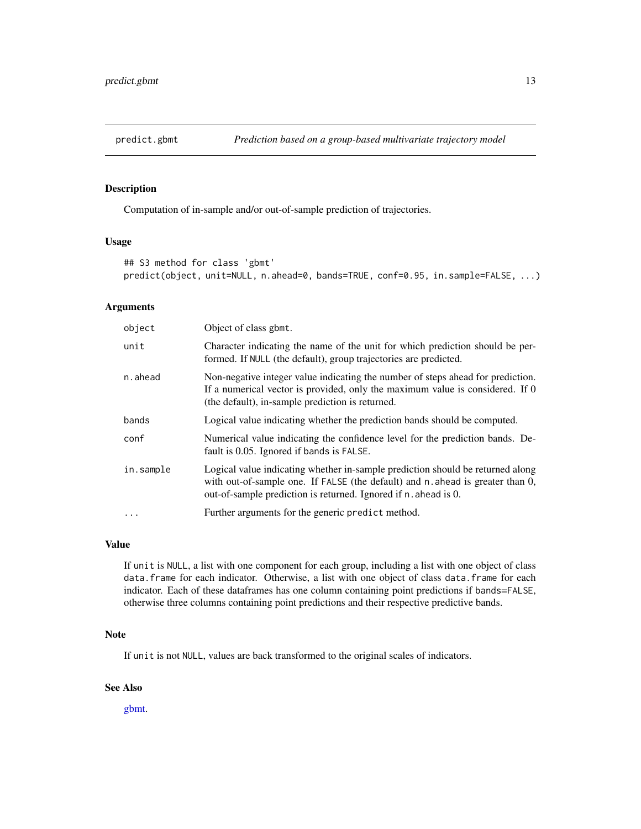<span id="page-12-1"></span><span id="page-12-0"></span>

#### Description

Computation of in-sample and/or out-of-sample prediction of trajectories.

#### Usage

```
## S3 method for class 'gbmt'
predict(object, unit=NULL, n.ahead=0, bands=TRUE, conf=0.95, in.sample=FALSE, ...)
```
#### Arguments

| object     | Object of class gbmt.                                                                                                                                                                                                              |
|------------|------------------------------------------------------------------------------------------------------------------------------------------------------------------------------------------------------------------------------------|
| unit       | Character indicating the name of the unit for which prediction should be per-<br>formed. If NULL (the default), group trajectories are predicted.                                                                                  |
| n.ahead    | Non-negative integer value indicating the number of steps ahead for prediction.<br>If a numerical vector is provided, only the maximum value is considered. If 0<br>(the default), in-sample prediction is returned.               |
| bands      | Logical value indicating whether the prediction bands should be computed.                                                                                                                                                          |
| conf       | Numerical value indicating the confidence level for the prediction bands. De-<br>fault is 0.05. Ignored if bands is FALSE.                                                                                                         |
| in.sample  | Logical value indicating whether in-sample prediction should be returned along<br>with out-of-sample one. If FALSE (the default) and n ahead is greater than 0,<br>out-of-sample prediction is returned. Ignored if n. ahead is 0. |
| $\ddots$ . | Further arguments for the generic predict method.                                                                                                                                                                                  |

#### Value

If unit is NULL, a list with one component for each group, including a list with one object of class data. frame for each indicator. Otherwise, a list with one object of class data. frame for each indicator. Each of these dataframes has one column containing point predictions if bands=FALSE, otherwise three columns containing point predictions and their respective predictive bands.

#### Note

If unit is not NULL, values are back transformed to the original scales of indicators.

#### See Also

[gbmt.](#page-4-1)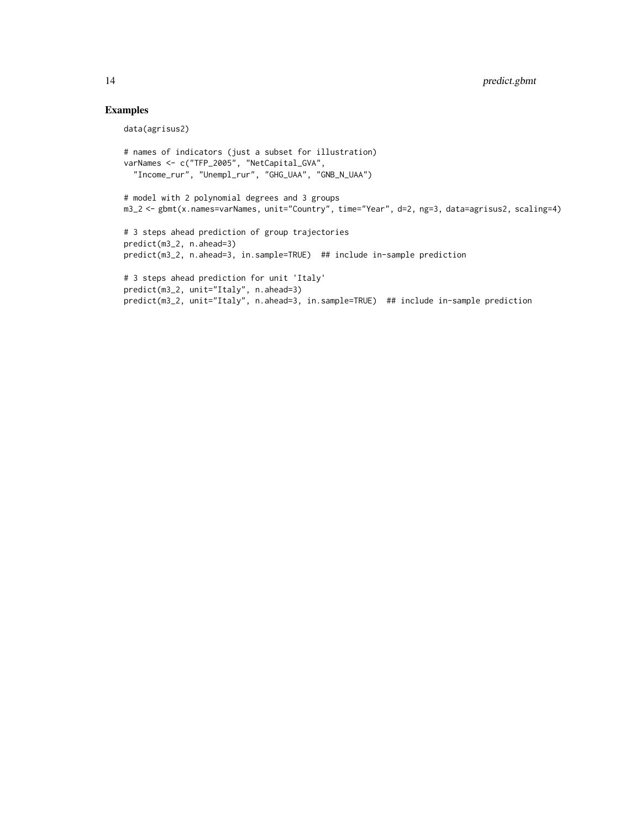#### Examples

```
data(agrisus2)
```

```
# names of indicators (just a subset for illustration)
varNames <- c("TFP_2005", "NetCapital_GVA",
  "Income_rur", "Unempl_rur", "GHG_UAA", "GNB_N_UAA")
# model with 2 polynomial degrees and 3 groups
m3_2 <- gbmt(x.names=varNames, unit="Country", time="Year", d=2, ng=3, data=agrisus2, scaling=4)
# 3 steps ahead prediction of group trajectories
predict(m3_2, n.ahead=3)
predict(m3_2, n.ahead=3, in.sample=TRUE) ## include in-sample prediction
# 3 steps ahead prediction for unit 'Italy'
predict(m3_2, unit="Italy", n.ahead=3)
predict(m3_2, unit="Italy", n.ahead=3, in.sample=TRUE) ## include in-sample prediction
```